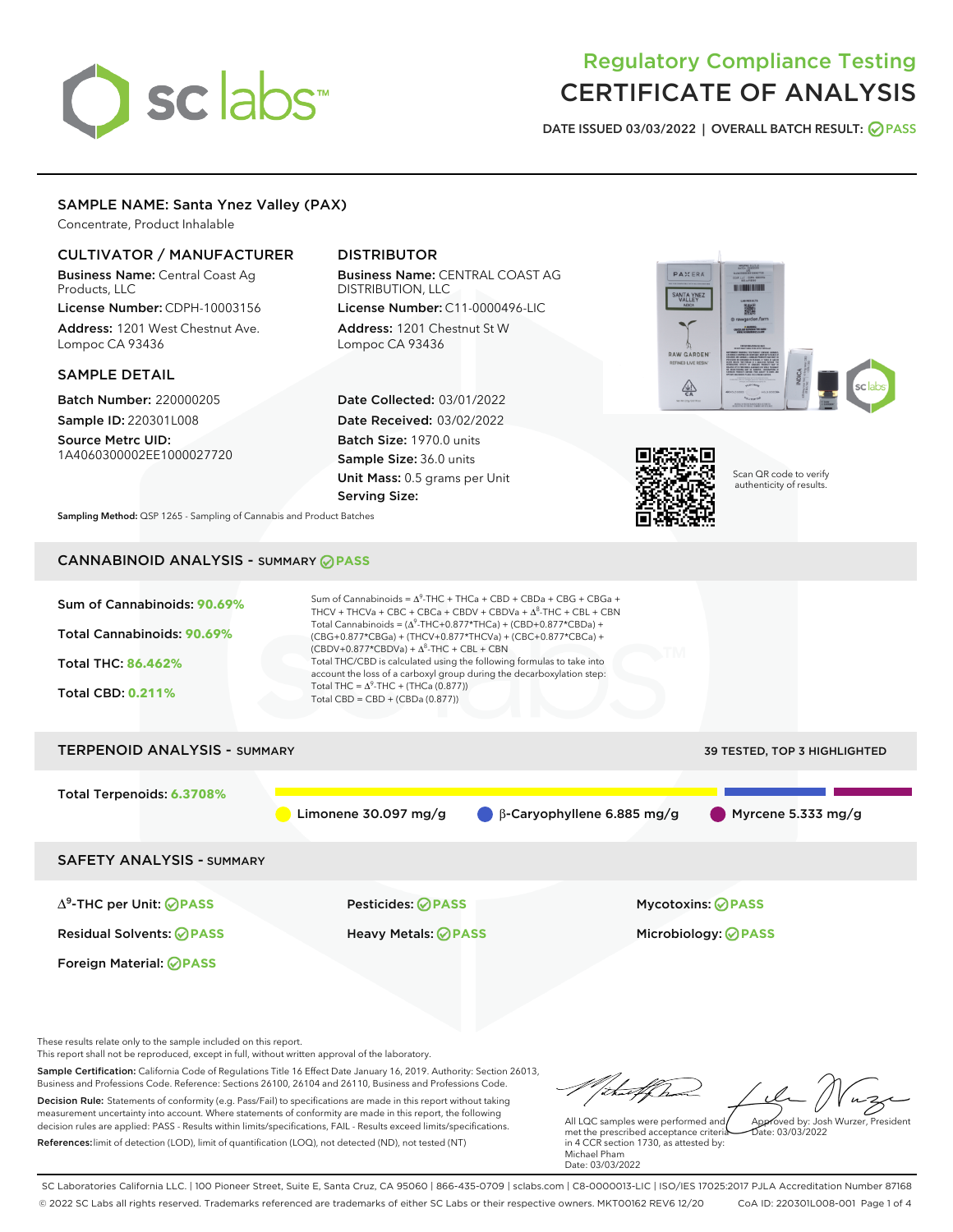# sclabs

# Regulatory Compliance Testing CERTIFICATE OF ANALYSIS

DATE ISSUED 03/03/2022 | OVERALL BATCH RESULT: @ PASS

# SAMPLE NAME: Santa Ynez Valley (PAX)

Concentrate, Product Inhalable

# CULTIVATOR / MANUFACTURER

Business Name: Central Coast Ag Products, LLC

License Number: CDPH-10003156 Address: 1201 West Chestnut Ave. Lompoc CA 93436

# SAMPLE DETAIL

Batch Number: 220000205 Sample ID: 220301L008

Source Metrc UID: 1A4060300002EE1000027720

# DISTRIBUTOR

Business Name: CENTRAL COAST AG DISTRIBUTION, LLC License Number: C11-0000496-LIC

Address: 1201 Chestnut St W Lompoc CA 93436

Date Collected: 03/01/2022 Date Received: 03/02/2022 Batch Size: 1970.0 units Sample Size: 36.0 units Unit Mass: 0.5 grams per Unit Serving Size:





Scan QR code to verify authenticity of results.

Sampling Method: QSP 1265 - Sampling of Cannabis and Product Batches

# CANNABINOID ANALYSIS - SUMMARY **PASS**



Foreign Material: **PASS**

Residual Solvents: **PASS** Heavy Metals: **PASS** Microbiology: **PASS**

These results relate only to the sample included on this report.

This report shall not be reproduced, except in full, without written approval of the laboratory.

Sample Certification: California Code of Regulations Title 16 Effect Date January 16, 2019. Authority: Section 26013, Business and Professions Code. Reference: Sections 26100, 26104 and 26110, Business and Professions Code. Decision Rule: Statements of conformity (e.g. Pass/Fail) to specifications are made in this report without taking measurement uncertainty into account. Where statements of conformity are made in this report, the following decision rules are applied: PASS - Results within limits/specifications, FAIL - Results exceed limits/specifications.

References:limit of detection (LOD), limit of quantification (LOQ), not detected (ND), not tested (NT)

tal f fra Approved by: Josh Wurzer, President

 $ate: 03/03/2022$ 

All LQC samples were performed and met the prescribed acceptance criteria in 4 CCR section 1730, as attested by: Michael Pham Date: 03/03/2022

SC Laboratories California LLC. | 100 Pioneer Street, Suite E, Santa Cruz, CA 95060 | 866-435-0709 | sclabs.com | C8-0000013-LIC | ISO/IES 17025:2017 PJLA Accreditation Number 87168 © 2022 SC Labs all rights reserved. Trademarks referenced are trademarks of either SC Labs or their respective owners. MKT00162 REV6 12/20 CoA ID: 220301L008-001 Page 1 of 4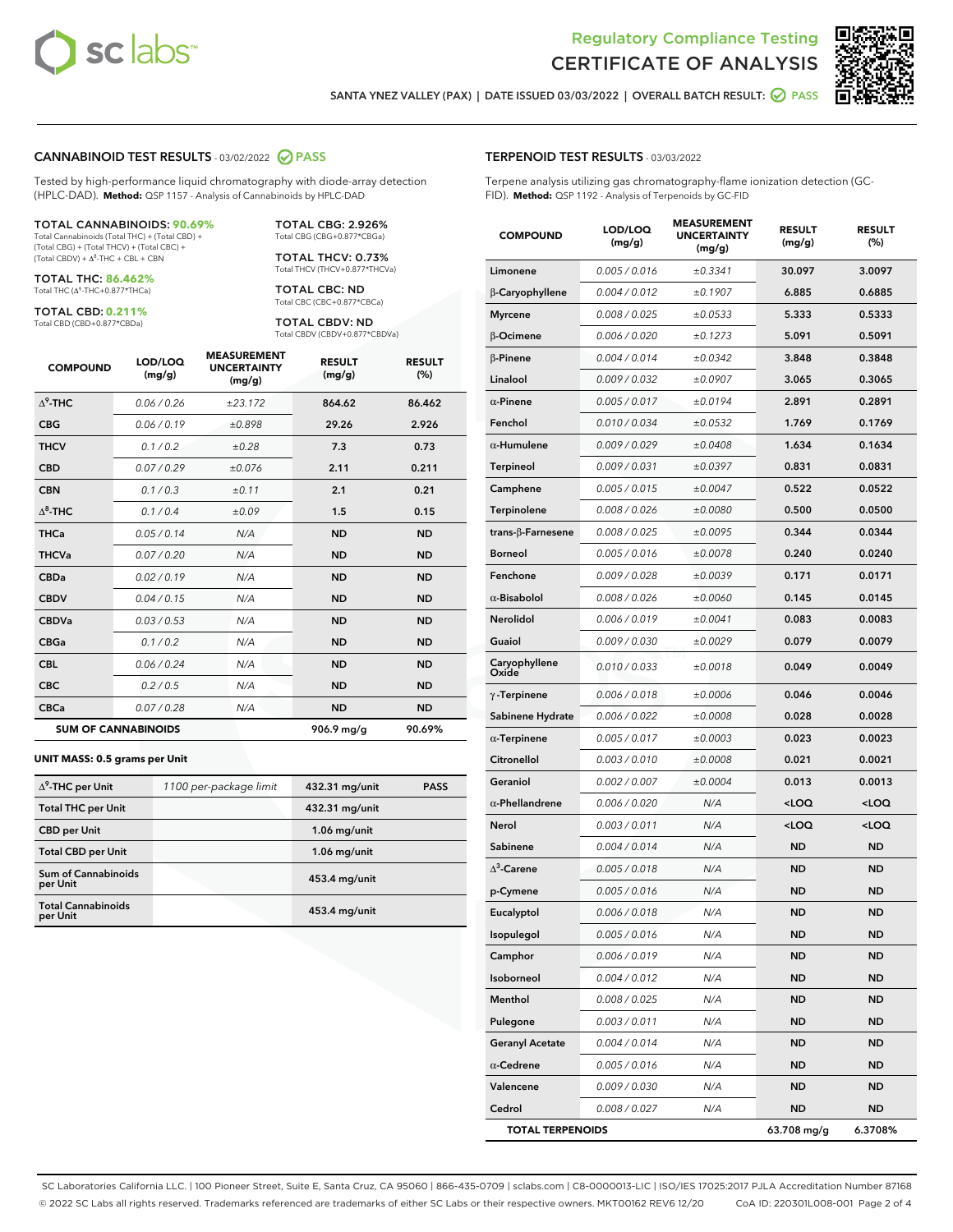



SANTA YNEZ VALLEY (PAX) | DATE ISSUED 03/03/2022 | OVERALL BATCH RESULT: @ PASS

#### CANNABINOID TEST RESULTS - 03/02/2022 2 PASS

Tested by high-performance liquid chromatography with diode-array detection (HPLC-DAD). **Method:** QSP 1157 - Analysis of Cannabinoids by HPLC-DAD

#### TOTAL CANNABINOIDS: **90.69%**

Total Cannabinoids (Total THC) + (Total CBD) + (Total CBG) + (Total THCV) + (Total CBC) +  $(Total CBDV) +  $\Delta^8$ -THC + CBL + CBN$ 

TOTAL THC: **86.462%** Total THC (Δ<sup>9</sup>-THC+0.877\*THCa)

TOTAL CBD: **0.211%**

Total CBD (CBD+0.877\*CBDa)

TOTAL CBG: 2.926% Total CBG (CBG+0.877\*CBGa)

TOTAL THCV: 0.73% Total THCV (THCV+0.877\*THCVa)

TOTAL CBC: ND Total CBC (CBC+0.877\*CBCa)

TOTAL CBDV: ND Total CBDV (CBDV+0.877\*CBDVa)

| <b>COMPOUND</b>  | LOD/LOQ<br>(mg/g)          | <b>MEASUREMENT</b><br><b>UNCERTAINTY</b><br>(mg/g) | <b>RESULT</b><br>(mg/g) | <b>RESULT</b><br>(%) |
|------------------|----------------------------|----------------------------------------------------|-------------------------|----------------------|
| $\Lambda^9$ -THC | 0.06/0.26                  | ±23.172                                            | 864.62                  | 86.462               |
| <b>CBG</b>       | 0.06/0.19                  | ±0.898                                             | 29.26                   | 2.926                |
| <b>THCV</b>      | 0.1/0.2                    | ±0.28                                              | 7.3                     | 0.73                 |
| <b>CBD</b>       | 0.07/0.29                  | ±0.076                                             | 2.11                    | 0.211                |
| <b>CBN</b>       | 0.1 / 0.3                  | ±0.11                                              | 2.1                     | 0.21                 |
| $\Delta^8$ -THC  | 0.1/0.4                    | ±0.09                                              | 1.5                     | 0.15                 |
| <b>THCa</b>      | 0.05/0.14                  | N/A                                                | <b>ND</b>               | <b>ND</b>            |
| <b>THCVa</b>     | 0.07 / 0.20                | N/A                                                | <b>ND</b>               | <b>ND</b>            |
| <b>CBDa</b>      | 0.02/0.19                  | N/A                                                | <b>ND</b>               | <b>ND</b>            |
| <b>CBDV</b>      | 0.04 / 0.15                | N/A                                                | <b>ND</b>               | <b>ND</b>            |
| <b>CBDVa</b>     | 0.03/0.53                  | N/A                                                | <b>ND</b>               | <b>ND</b>            |
| <b>CBGa</b>      | 0.1 / 0.2                  | N/A                                                | <b>ND</b>               | <b>ND</b>            |
| <b>CBL</b>       | 0.06 / 0.24                | N/A                                                | <b>ND</b>               | <b>ND</b>            |
| <b>CBC</b>       | 0.2 / 0.5                  | N/A                                                | <b>ND</b>               | <b>ND</b>            |
| <b>CBCa</b>      | 0.07/0.28                  | N/A                                                | <b>ND</b>               | <b>ND</b>            |
|                  | <b>SUM OF CANNABINOIDS</b> |                                                    | 906.9 mg/g              | 90.69%               |

#### **UNIT MASS: 0.5 grams per Unit**

| $\Delta^9$ -THC per Unit               | 1100 per-package limit | 432.31 mg/unit  | <b>PASS</b> |
|----------------------------------------|------------------------|-----------------|-------------|
| <b>Total THC per Unit</b>              |                        | 432.31 mg/unit  |             |
| <b>CBD</b> per Unit                    |                        | $1.06$ mg/unit  |             |
| <b>Total CBD per Unit</b>              |                        | $1.06$ mg/unit  |             |
| <b>Sum of Cannabinoids</b><br>per Unit |                        | 453.4 mg/unit   |             |
| <b>Total Cannabinoids</b><br>per Unit  |                        | $453.4$ mg/unit |             |

#### TERPENOID TEST RESULTS - 03/03/2022

Terpene analysis utilizing gas chromatography-flame ionization detection (GC-FID). **Method:** QSP 1192 - Analysis of Terpenoids by GC-FID

| <b>COMPOUND</b>           | LOD/LOQ<br>(mg/g) | <b>MEASUREMENT</b><br><b>UNCERTAINTY</b><br>(mg/g) | <b>RESULT</b><br>(mg/g)                         | <b>RESULT</b><br>(%) |
|---------------------------|-------------------|----------------------------------------------------|-------------------------------------------------|----------------------|
| Limonene                  | 0.005 / 0.016     | ±0.3341                                            | 30.097                                          | 3.0097               |
| β-Caryophyllene           | 0.004 / 0.012     | ±0.1907                                            | 6.885                                           | 0.6885               |
| <b>Myrcene</b>            | 0.008 / 0.025     | ±0.0533                                            | 5.333                                           | 0.5333               |
| β-Ocimene                 | 0.006 / 0.020     | ±0.1273                                            | 5.091                                           | 0.5091               |
| $\beta$ -Pinene           | 0.004 / 0.014     | ±0.0342                                            | 3.848                                           | 0.3848               |
| Linalool                  | 0.009 / 0.032     | ±0.0907                                            | 3.065                                           | 0.3065               |
| $\alpha$ -Pinene          | 0.005 / 0.017     | ±0.0194                                            | 2.891                                           | 0.2891               |
| Fenchol                   | 0.010 / 0.034     | ±0.0532                                            | 1.769                                           | 0.1769               |
| $\alpha$ -Humulene        | 0.009 / 0.029     | ±0.0408                                            | 1.634                                           | 0.1634               |
| Terpineol                 | 0.009 / 0.031     | ±0.0397                                            | 0.831                                           | 0.0831               |
| Camphene                  | 0.005 / 0.015     | ±0.0047                                            | 0.522                                           | 0.0522               |
| Terpinolene               | 0.008 / 0.026     | ±0.0080                                            | 0.500                                           | 0.0500               |
| trans- $\beta$ -Farnesene | 0.008 / 0.025     | ±0.0095                                            | 0.344                                           | 0.0344               |
| Borneol                   | 0.005 / 0.016     | ±0.0078                                            | 0.240                                           | 0.0240               |
| Fenchone                  | 0.009 / 0.028     | ±0.0039                                            | 0.171                                           | 0.0171               |
| $\alpha$ -Bisabolol       | 0.008 / 0.026     | ±0.0060                                            | 0.145                                           | 0.0145               |
| <b>Nerolidol</b>          | 0.006 / 0.019     | ±0.0041                                            | 0.083                                           | 0.0083               |
| Guaiol                    | 0.009 / 0.030     | ±0.0029                                            | 0.079                                           | 0.0079               |
| Caryophyllene<br>Oxide    | 0.010 / 0.033     | ±0.0018                                            | 0.049                                           | 0.0049               |
| $\gamma$ -Terpinene       | 0.006 / 0.018     | ±0.0006                                            | 0.046                                           | 0.0046               |
| Sabinene Hydrate          | 0.006 / 0.022     | ±0.0008                                            | 0.028                                           | 0.0028               |
| $\alpha$ -Terpinene       | 0.005 / 0.017     | ±0.0003                                            | 0.023                                           | 0.0023               |
| Citronellol               | 0.003 / 0.010     | ±0.0008                                            | 0.021                                           | 0.0021               |
| Geraniol                  | 0.002 / 0.007     | ±0.0004                                            | 0.013                                           | 0.0013               |
| $\alpha$ -Phellandrene    | 0.006 / 0.020     | N/A                                                | <loq< th=""><th><loq< th=""></loq<></th></loq<> | <loq< th=""></loq<>  |
| Nerol                     | 0.003 / 0.011     | N/A                                                | $<$ LOQ                                         | <loq< th=""></loq<>  |
| Sabinene                  | 0.004 / 0.014     | N/A                                                | <b>ND</b>                                       | <b>ND</b>            |
| $\Delta^3$ -Carene        | 0.005 / 0.018     | N/A                                                | ND                                              | <b>ND</b>            |
| p-Cymene                  | 0.005 / 0.016     | N/A                                                | <b>ND</b>                                       | <b>ND</b>            |
| Eucalyptol                | 0.006 / 0.018     | N/A                                                | <b>ND</b>                                       | <b>ND</b>            |
| Isopulegol                | 0.005 / 0.016     | N/A                                                | ND                                              | ND                   |
| Camphor                   | 0.006 / 0.019     | N/A                                                | <b>ND</b>                                       | <b>ND</b>            |
| Isoborneol                | 0.004 / 0.012     | N/A                                                | <b>ND</b>                                       | <b>ND</b>            |
| Menthol                   | 0.008 / 0.025     | N/A                                                | ND                                              | ND                   |
| Pulegone                  | 0.003 / 0.011     | N/A                                                | ND                                              | <b>ND</b>            |
| <b>Geranyl Acetate</b>    | 0.004 / 0.014     | N/A                                                | <b>ND</b>                                       | <b>ND</b>            |
| $\alpha$ -Cedrene         | 0.005 / 0.016     | N/A                                                | ND                                              | ND                   |
| Valencene                 | 0.009 / 0.030     | N/A                                                | <b>ND</b>                                       | <b>ND</b>            |
| Cedrol                    | 0.008 / 0.027     | N/A                                                | <b>ND</b>                                       | ND                   |
| <b>TOTAL TERPENOIDS</b>   |                   |                                                    | 63.708 mg/g                                     | 6.3708%              |

SC Laboratories California LLC. | 100 Pioneer Street, Suite E, Santa Cruz, CA 95060 | 866-435-0709 | sclabs.com | C8-0000013-LIC | ISO/IES 17025:2017 PJLA Accreditation Number 87168 © 2022 SC Labs all rights reserved. Trademarks referenced are trademarks of either SC Labs or their respective owners. MKT00162 REV6 12/20 CoA ID: 220301L008-001 Page 2 of 4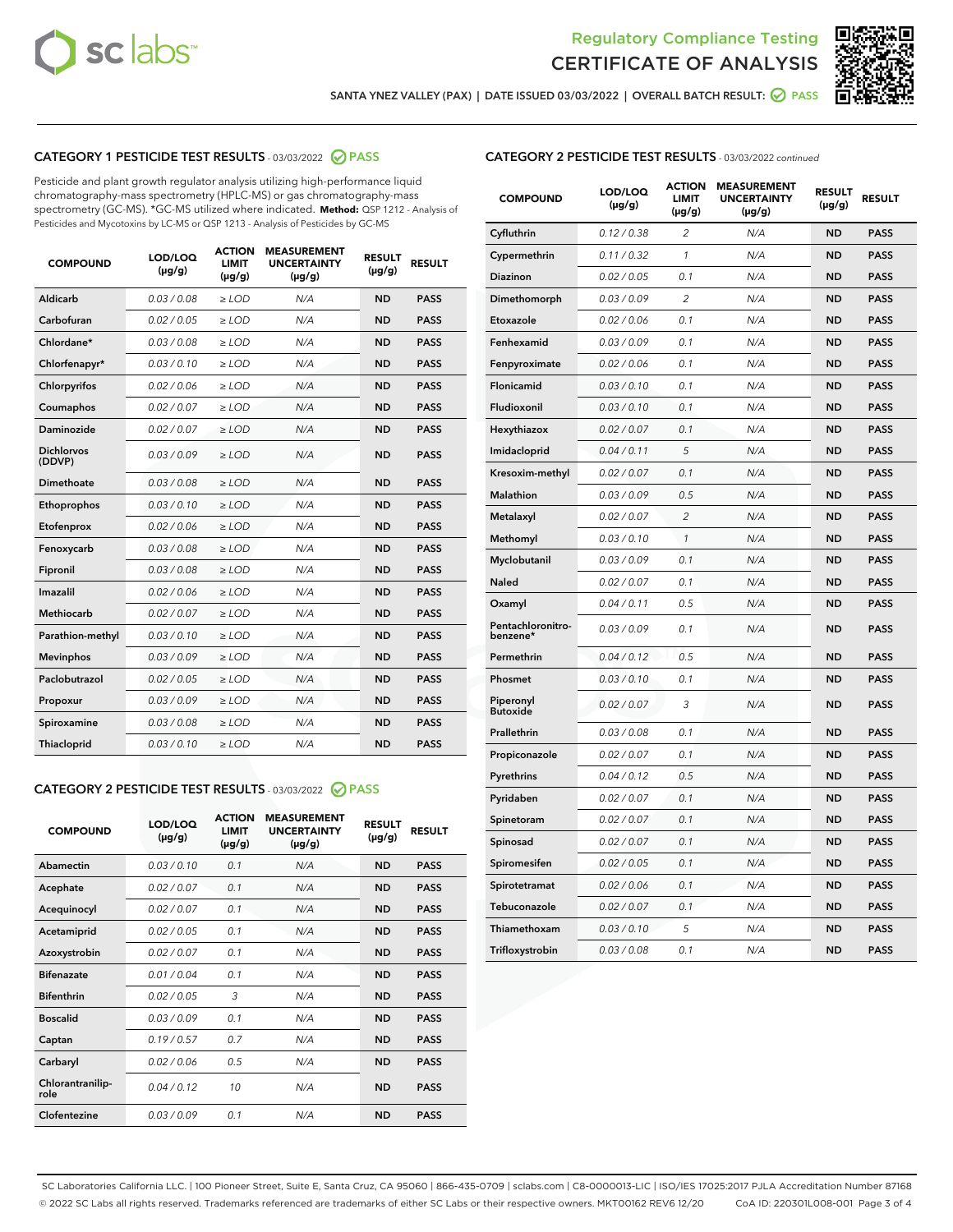



SANTA YNEZ VALLEY (PAX) | DATE ISSUED 03/03/2022 | OVERALL BATCH RESULT: @ PASS

# CATEGORY 1 PESTICIDE TEST RESULTS - 03/03/2022 2 PASS

Pesticide and plant growth regulator analysis utilizing high-performance liquid chromatography-mass spectrometry (HPLC-MS) or gas chromatography-mass spectrometry (GC-MS). \*GC-MS utilized where indicated. **Method:** QSP 1212 - Analysis of Pesticides and Mycotoxins by LC-MS or QSP 1213 - Analysis of Pesticides by GC-MS

| <b>COMPOUND</b>             | LOD/LOQ<br>$(\mu g/g)$ | <b>ACTION</b><br>LIMIT<br>$(\mu g/g)$ | <b>MEASUREMENT</b><br><b>UNCERTAINTY</b><br>$(\mu g/g)$ | <b>RESULT</b><br>$(\mu g/g)$ | <b>RESULT</b> |  |
|-----------------------------|------------------------|---------------------------------------|---------------------------------------------------------|------------------------------|---------------|--|
| Aldicarb                    | 0.03 / 0.08            | $\ge$ LOD                             | N/A                                                     | <b>ND</b>                    | <b>PASS</b>   |  |
| Carbofuran                  | 0.02 / 0.05            | $>$ LOD                               | N/A                                                     | <b>ND</b>                    | <b>PASS</b>   |  |
| Chlordane*                  | 0.03 / 0.08            | $\ge$ LOD                             | N/A                                                     | <b>ND</b>                    | <b>PASS</b>   |  |
| Chlorfenapyr*               | 0.03/0.10              | $\ge$ LOD                             | N/A                                                     | <b>ND</b>                    | <b>PASS</b>   |  |
| Chlorpyrifos                | 0.02/0.06              | $>$ LOD                               | N/A                                                     | <b>ND</b>                    | <b>PASS</b>   |  |
| Coumaphos                   | 0.02 / 0.07            | $\ge$ LOD                             | N/A                                                     | <b>ND</b>                    | <b>PASS</b>   |  |
| Daminozide                  | 0.02 / 0.07            | $\ge$ LOD                             | N/A                                                     | <b>ND</b>                    | <b>PASS</b>   |  |
| <b>Dichlorvos</b><br>(DDVP) | 0.03/0.09              | $\ge$ LOD                             | N/A                                                     | <b>ND</b>                    | <b>PASS</b>   |  |
| Dimethoate                  | 0.03/0.08              | $>$ LOD                               | N/A                                                     | <b>ND</b>                    | <b>PASS</b>   |  |
| Ethoprophos                 | 0.03/0.10              | $\ge$ LOD                             | N/A                                                     | <b>ND</b>                    | <b>PASS</b>   |  |
| Etofenprox                  | 0.02 / 0.06            | $>$ LOD                               | N/A                                                     | <b>ND</b>                    | <b>PASS</b>   |  |
| Fenoxycarb                  | 0.03/0.08              | $>$ LOD                               | N/A                                                     | <b>ND</b>                    | <b>PASS</b>   |  |
| Fipronil                    | 0.03 / 0.08            | $\ge$ LOD                             | N/A                                                     | <b>ND</b>                    | <b>PASS</b>   |  |
| Imazalil                    | 0.02/0.06              | $>$ LOD                               | N/A                                                     | <b>ND</b>                    | <b>PASS</b>   |  |
| <b>Methiocarb</b>           | 0.02 / 0.07            | $\ge$ LOD                             | N/A                                                     | <b>ND</b>                    | <b>PASS</b>   |  |
| Parathion-methyl            | 0.03/0.10              | $\ge$ LOD                             | N/A                                                     | <b>ND</b>                    | <b>PASS</b>   |  |
| <b>Mevinphos</b>            | 0.03/0.09              | $>$ LOD                               | N/A                                                     | <b>ND</b>                    | <b>PASS</b>   |  |
| Paclobutrazol               | 0.02 / 0.05            | $\ge$ LOD                             | N/A                                                     | <b>ND</b>                    | <b>PASS</b>   |  |
| Propoxur                    | 0.03/0.09              | $>$ LOD                               | N/A                                                     | <b>ND</b>                    | <b>PASS</b>   |  |
| Spiroxamine                 | 0.03 / 0.08            | $\ge$ LOD                             | N/A                                                     | <b>ND</b>                    | <b>PASS</b>   |  |
| Thiacloprid                 | 0.03/0.10              | $\ge$ LOD                             | N/A                                                     | <b>ND</b>                    | <b>PASS</b>   |  |
|                             |                        |                                       |                                                         |                              |               |  |

# CATEGORY 2 PESTICIDE TEST RESULTS - 03/03/2022 2 PASS

| <b>COMPOUND</b>          | LOD/LOO<br>$(\mu g/g)$ | <b>ACTION</b><br><b>LIMIT</b><br>(µg/g) | <b>MEASUREMENT</b><br><b>UNCERTAINTY</b><br>$(\mu g/g)$ | <b>RESULT</b><br>$(\mu g/g)$ | <b>RESULT</b> |  |
|--------------------------|------------------------|-----------------------------------------|---------------------------------------------------------|------------------------------|---------------|--|
| Abamectin                | 0.03/0.10              | 0.1                                     | N/A                                                     | <b>ND</b>                    | <b>PASS</b>   |  |
| Acephate                 | 0.02/0.07              | 0.1                                     | N/A                                                     | <b>ND</b>                    | <b>PASS</b>   |  |
| Acequinocyl              | 0.02/0.07              | 0.1                                     | N/A                                                     | <b>ND</b>                    | <b>PASS</b>   |  |
| Acetamiprid              | 0.02/0.05              | 0.1                                     | N/A                                                     | <b>ND</b>                    | <b>PASS</b>   |  |
| Azoxystrobin             | 0.02/0.07              | 0.1                                     | N/A                                                     | <b>ND</b>                    | <b>PASS</b>   |  |
| <b>Bifenazate</b>        | 0.01/0.04              | 0.1                                     | N/A                                                     | <b>ND</b>                    | <b>PASS</b>   |  |
| <b>Bifenthrin</b>        | 0.02/0.05              | 3                                       | N/A                                                     | <b>ND</b>                    | <b>PASS</b>   |  |
| <b>Boscalid</b>          | 0.03/0.09              | 0.1                                     | N/A                                                     | <b>ND</b>                    | <b>PASS</b>   |  |
| Captan                   | 0.19/0.57              | 0.7                                     | N/A                                                     | <b>ND</b>                    | <b>PASS</b>   |  |
| Carbaryl                 | 0.02/0.06              | 0.5                                     | N/A                                                     | <b>ND</b>                    | <b>PASS</b>   |  |
| Chlorantranilip-<br>role | 0.04/0.12              | 10                                      | N/A                                                     | <b>ND</b>                    | <b>PASS</b>   |  |
| Clofentezine             | 0.03/0.09              | 0.1                                     | N/A                                                     | <b>ND</b>                    | <b>PASS</b>   |  |

# CATEGORY 2 PESTICIDE TEST RESULTS - 03/03/2022 continued

| <b>COMPOUND</b>               | LOD/LOQ<br>$(\mu g/g)$ | <b>ACTION</b><br><b>LIMIT</b><br>(µg/g) | <b>MEASUREMENT</b><br><b>UNCERTAINTY</b><br>$(\mu g/g)$ | <b>RESULT</b><br>$(\mu g/g)$ | <b>RESULT</b> |
|-------------------------------|------------------------|-----------------------------------------|---------------------------------------------------------|------------------------------|---------------|
| Cyfluthrin                    | 0.12 / 0.38            | $\overline{c}$                          | N/A                                                     | <b>ND</b>                    | <b>PASS</b>   |
| Cypermethrin                  | 0.11 / 0.32            | 1                                       | N/A                                                     | <b>ND</b>                    | <b>PASS</b>   |
| Diazinon                      | 0.02 / 0.05            | 0.1                                     | N/A                                                     | <b>ND</b>                    | <b>PASS</b>   |
| Dimethomorph                  | 0.03 / 0.09            | $\overline{2}$                          | N/A                                                     | <b>ND</b>                    | <b>PASS</b>   |
| Etoxazole                     | 0.02 / 0.06            | 0.1                                     | N/A                                                     | <b>ND</b>                    | <b>PASS</b>   |
| Fenhexamid                    | 0.03 / 0.09            | 0.1                                     | N/A                                                     | <b>ND</b>                    | <b>PASS</b>   |
| Fenpyroximate                 | 0.02 / 0.06            | 0.1                                     | N/A                                                     | <b>ND</b>                    | <b>PASS</b>   |
| Flonicamid                    | 0.03 / 0.10            | 0.1                                     | N/A                                                     | <b>ND</b>                    | <b>PASS</b>   |
| Fludioxonil                   | 0.03 / 0.10            | 0.1                                     | N/A                                                     | <b>ND</b>                    | <b>PASS</b>   |
| Hexythiazox                   | 0.02 / 0.07            | 0.1                                     | N/A                                                     | <b>ND</b>                    | <b>PASS</b>   |
| Imidacloprid                  | 0.04 / 0.11            | 5                                       | N/A                                                     | <b>ND</b>                    | <b>PASS</b>   |
| Kresoxim-methyl               | 0.02 / 0.07            | 0.1                                     | N/A                                                     | <b>ND</b>                    | <b>PASS</b>   |
| Malathion                     | 0.03 / 0.09            | 0.5                                     | N/A                                                     | <b>ND</b>                    | <b>PASS</b>   |
| Metalaxyl                     | 0.02 / 0.07            | $\overline{c}$                          | N/A                                                     | <b>ND</b>                    | <b>PASS</b>   |
| Methomyl                      | 0.03 / 0.10            | 1                                       | N/A                                                     | <b>ND</b>                    | <b>PASS</b>   |
| Myclobutanil                  | 0.03 / 0.09            | 0.1                                     | N/A                                                     | <b>ND</b>                    | <b>PASS</b>   |
| Naled                         | 0.02 / 0.07            | 0.1                                     | N/A                                                     | <b>ND</b>                    | <b>PASS</b>   |
| Oxamyl                        | 0.04 / 0.11            | 0.5                                     | N/A                                                     | ND                           | <b>PASS</b>   |
| Pentachloronitro-<br>benzene* | 0.03 / 0.09            | 0.1                                     | N/A                                                     | <b>ND</b>                    | <b>PASS</b>   |
| Permethrin                    | 0.04/0.12              | 0.5                                     | N/A                                                     | <b>ND</b>                    | <b>PASS</b>   |
| Phosmet                       | 0.03 / 0.10            | 0.1                                     | N/A                                                     | <b>ND</b>                    | <b>PASS</b>   |
| Piperonyl<br><b>Butoxide</b>  | 0.02 / 0.07            | 3                                       | N/A                                                     | <b>ND</b>                    | <b>PASS</b>   |
| Prallethrin                   | 0.03 / 0.08            | 0.1                                     | N/A                                                     | <b>ND</b>                    | <b>PASS</b>   |
| Propiconazole                 | 0.02 / 0.07            | 0.1                                     | N/A                                                     | <b>ND</b>                    | <b>PASS</b>   |
| Pyrethrins                    | 0.04 / 0.12            | 0.5                                     | N/A                                                     | <b>ND</b>                    | <b>PASS</b>   |
| Pyridaben                     | 0.02 / 0.07            | 0.1                                     | N/A                                                     | <b>ND</b>                    | <b>PASS</b>   |
| Spinetoram                    | 0.02 / 0.07            | 0.1                                     | N/A                                                     | <b>ND</b>                    | <b>PASS</b>   |
| Spinosad                      | 0.02 / 0.07            | 0.1                                     | N/A                                                     | <b>ND</b>                    | <b>PASS</b>   |
| Spiromesifen                  | 0.02 / 0.05            | 0.1                                     | N/A                                                     | <b>ND</b>                    | <b>PASS</b>   |
| Spirotetramat                 | 0.02 / 0.06            | 0.1                                     | N/A                                                     | <b>ND</b>                    | <b>PASS</b>   |
| Tebuconazole                  | 0.02 / 0.07            | 0.1                                     | N/A                                                     | <b>ND</b>                    | <b>PASS</b>   |
| Thiamethoxam                  | 0.03 / 0.10            | 5                                       | N/A                                                     | <b>ND</b>                    | <b>PASS</b>   |
| Trifloxystrobin               | 0.03 / 0.08            | 0.1                                     | N/A                                                     | <b>ND</b>                    | <b>PASS</b>   |

SC Laboratories California LLC. | 100 Pioneer Street, Suite E, Santa Cruz, CA 95060 | 866-435-0709 | sclabs.com | C8-0000013-LIC | ISO/IES 17025:2017 PJLA Accreditation Number 87168 © 2022 SC Labs all rights reserved. Trademarks referenced are trademarks of either SC Labs or their respective owners. MKT00162 REV6 12/20 CoA ID: 220301L008-001 Page 3 of 4